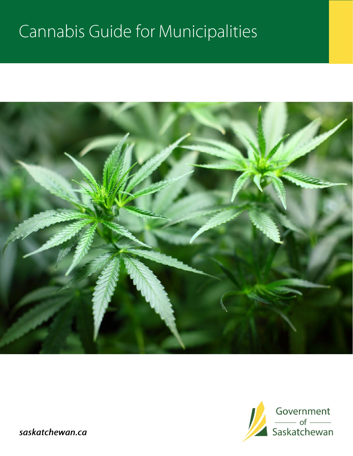# Cannabis Guide for Municipalities





saskatchewan.ca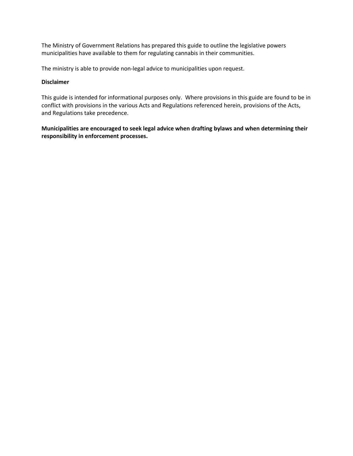The Ministry of Government Relations has prepared this guide to outline the legislative powers municipalities have available to them for regulating cannabis in their communities.

The ministry is able to provide non-legal advice to municipalities upon request.

#### **Disclaimer**

This guide is intended for informational purposes only. Where provisions in this guide are found to be in conflict with provisions in the various Acts and Regulations referenced herein, provisions of the Acts, and Regulations take precedence.

**Municipalities are encouraged to seek legal advice when drafting bylaws and when determining their responsibility in enforcement processes.**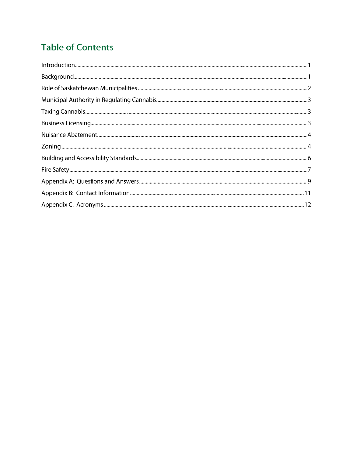# **Table of Contents**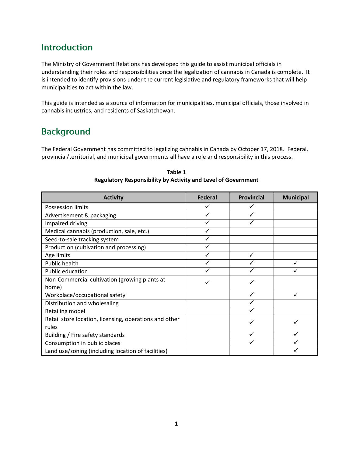### **Introduction**

The Ministry of Government Relations has developed this guide to assist municipal officials in understanding their roles and responsibilities once the legalization of cannabis in Canada is complete. It is intended to identify provisions under the current legislative and regulatory frameworks that will help municipalities to act within the law.

This guide is intended as a source of information for municipalities, municipal officials, those involved in cannabis industries, and residents of Saskatchewan.

# **Background**

The Federal Government has committed to legalizing cannabis in Canada by October 17, 2018. Federal, provincial/territorial, and municipal governments all have a role and responsibility in this process.

| <b>Activity</b>                                        | <b>Federal</b> | <b>Provincial</b> | <b>Municipal</b> |
|--------------------------------------------------------|----------------|-------------------|------------------|
| <b>Possession limits</b>                               | ✓              | ✓                 |                  |
| Advertisement & packaging                              | ✓              |                   |                  |
| Impaired driving                                       | ✓              |                   |                  |
| Medical cannabis (production, sale, etc.)              | ✓              |                   |                  |
| Seed-to-sale tracking system                           |                |                   |                  |
| Production (cultivation and processing)                |                |                   |                  |
| Age limits                                             | ✓              | ✓                 |                  |
| Public health                                          |                |                   |                  |
| Public education                                       |                |                   |                  |
| Non-Commercial cultivation (growing plants at          |                |                   |                  |
| home)                                                  |                |                   |                  |
| Workplace/occupational safety                          |                |                   |                  |
| Distribution and wholesaling                           |                |                   |                  |
| Retailing model                                        |                |                   |                  |
| Retail store location, licensing, operations and other |                |                   |                  |
| rules                                                  |                |                   |                  |
| Building / Fire safety standards                       |                |                   |                  |
| Consumption in public places                           |                |                   |                  |
| Land use/zoning (including location of facilities)     |                |                   |                  |

**Table 1 Regulatory Responsibility by Activity and Level of Government**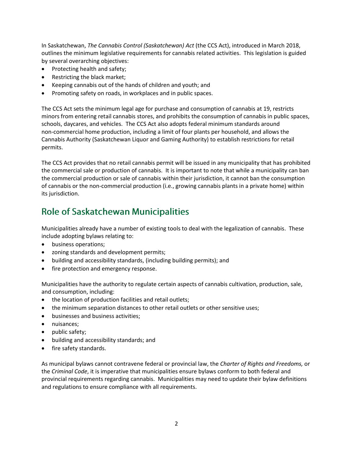In Saskatchewan, *The Cannabis Control (Saskatchewan) Act* (the CCS Act), introduced in March 2018, outlines the minimum legislative requirements for cannabis related activities. This legislation is guided by several overarching objectives:

- Protecting health and safety;
- Restricting the black market;
- Keeping cannabis out of the hands of children and youth; and
- Promoting safety on roads, in workplaces and in public spaces.

The CCS Act sets the minimum legal age for purchase and consumption of cannabis at 19, restricts minors from entering retail cannabis stores, and prohibits the consumption of cannabis in public spaces, schools, daycares, and vehicles. The CCS Act also adopts federal minimum standards around non-commercial home production, including a limit of four plants per household, and allows the Cannabis Authority (Saskatchewan Liquor and Gaming Authority) to establish restrictions for retail permits.

The CCS Act provides that no retail cannabis permit will be issued in any municipality that has prohibited the commercial sale or production of cannabis. It is important to note that while a municipality can ban the commercial production or sale of cannabis within their jurisdiction, it cannot ban the consumption of cannabis or the non-commercial production (i.e., growing cannabis plants in a private home) within its jurisdiction.

# **Role of Saskatchewan Municipalities**

Municipalities already have a number of existing tools to deal with the legalization of cannabis. These include adopting bylaws relating to:

- business operations;
- zoning standards and development permits;
- building and accessibility standards, (including building permits); and
- fire protection and emergency response.

Municipalities have the authority to regulate certain aspects of cannabis cultivation, production, sale, and consumption, including:

- the location of production facilities and retail outlets;
- the minimum separation distances to other retail outlets or other sensitive uses;
- **•** businesses and business activities;
- nuisances:
- public safety;
- building and accessibility standards; and
- fire safety standards.

As municipal bylaws cannot contravene federal or provincial law, the *Charter of Rights and Freedoms,* or the *Criminal Code*, it is imperative that municipalities ensure bylaws conform to both federal and provincial requirements regarding cannabis. Municipalities may need to update their bylaw definitions and regulations to ensure compliance with all requirements.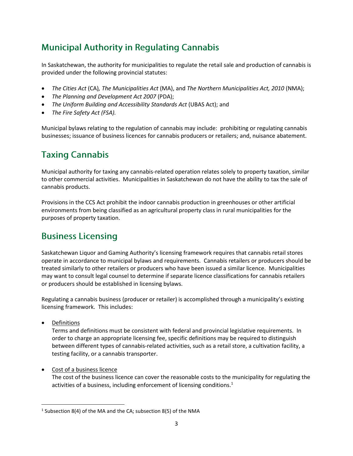# **Municipal Authority in Regulating Cannabis**

In Saskatchewan, the authority for municipalities to regulate the retail sale and production of cannabis is provided under the following provincial statutes:

- *The Cities Act* (CA)*, The Municipalities Act* (MA), and *The Northern Municipalities Act, 2010* (NMA);
- *The Planning and Development Act 2007* (PDA);
- *The Uniform Building and Accessibility Standards Act* (UBAS Act); and
- *The Fire Safety Act (FSA).*

Municipal bylaws relating to the regulation of cannabis may include: prohibiting or regulating cannabis businesses; issuance of business licences for cannabis producers or retailers; and, nuisance abatement.

# **Taxing Cannabis**

Municipal authority for taxing any cannabis-related operation relates solely to property taxation, similar to other commercial activities. Municipalities in Saskatchewan do not have the ability to tax the sale of cannabis products.

Provisions in the CCS Act prohibit the indoor cannabis production in greenhouses or other artificial environments from being classified as an agricultural property class in rural municipalities for the purposes of property taxation.

### **Business Licensing**

Saskatchewan Liquor and Gaming Authority's licensing framework requires that cannabis retail stores operate in accordance to municipal bylaws and requirements. Cannabis retailers or producers should be treated similarly to other retailers or producers who have been issued a similar licence. Municipalities may want to consult legal counsel to determine if separate licence classifications for cannabis retailers or producers should be established in licensing bylaws.

Regulating a cannabis business (producer or retailer) is accomplished through a municipality's existing licensing framework. This includes:

• Definitions

 $\overline{\phantom{a}}$ 

Terms and definitions must be consistent with federal and provincial legislative requirements. In order to charge an appropriate licensing fee, specific definitions may be required to distinguish between different types of cannabis-related activities, such as a retail store, a cultivation facility, a testing facility, or a cannabis transporter.

• Cost of a business licence

The cost of the business licence can cover the reasonable costs to the municipality for regulating the activities of a business, including enforcement of licensing conditions.<sup>1</sup>

 $<sup>1</sup>$  Subsection 8(4) of the MA and the CA; subsection 8(5) of the NMA</sup>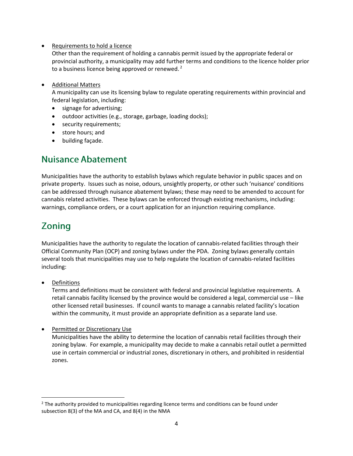• Requirements to hold a licence

Other than the requirement of holding a cannabis permit issued by the appropriate federal or provincial authority, a municipality may add further terms and conditions to the licence holder prior to a business licence being approved or renewed.<sup>2</sup>

• Additional Matters

A municipality can use its licensing bylaw to regulate operating requirements within provincial and federal legislation, including:

- signage for advertising;
- outdoor activities (e.g., storage, garbage, loading docks);
- security requirements;
- store hours; and
- building façade.

### **Nuisance Abatement**

Municipalities have the authority to establish bylaws which regulate behavior in public spaces and on private property. Issues such as noise, odours, unsightly property, or other such 'nuisance' conditions can be addressed through nuisance abatement bylaws; these may need to be amended to account for cannabis related activities. These bylaws can be enforced through existing mechanisms, including: warnings, compliance orders, or a court application for an injunction requiring compliance.

# **Zoning**

Municipalities have the authority to regulate the location of cannabis-related facilities through their Official Community Plan (OCP) and zoning bylaws under the PDA. Zoning bylaws generally contain several tools that municipalities may use to help regulate the location of cannabis-related facilities including:

Definitions

 $\overline{\phantom{a}}$ 

Terms and definitions must be consistent with federal and provincial legislative requirements. A retail cannabis facility licensed by the province would be considered a legal, commercial use – like other licensed retail businesses. If council wants to manage a cannabis related facility's location within the community, it must provide an appropriate definition as a separate land use.

**•** Permitted or Discretionary Use Municipalities have the ability to determine the location of cannabis retail facilities through their zoning bylaw. For example, a municipality may decide to make a cannabis retail outlet a permitted use in certain commercial or industrial zones, discretionary in others, and prohibited in residential zones.

 $<sup>2</sup>$  The authority provided to municipalities regarding licence terms and conditions can be found under</sup> subsection 8(3) of the MA and CA, and 8(4) in the NMA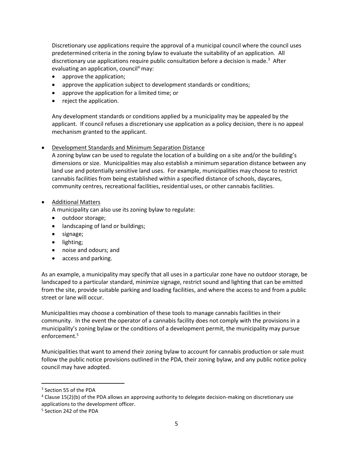Discretionary use applications require the approval of a municipal council where the council uses predetermined criteria in the zoning bylaw to evaluate the suitability of an application. All discretionary use applications require public consultation before a decision is made.<sup>3</sup> After evaluating an application, council<sup>4</sup> may:

- approve the application;
- approve the application subject to development standards or conditions;
- approve the application for a limited time; or
- reject the application.

Any development standards or conditions applied by a municipality may be appealed by the applicant. If council refuses a discretionary use application as a policy decision, there is no appeal mechanism granted to the applicant.

#### Development Standards and Minimum Separation Distance

A zoning bylaw can be used to regulate the location of a building on a site and/or the building's dimensions or size. Municipalities may also establish a minimum separation distance between any land use and potentially sensitive land uses. For example, municipalities may choose to restrict cannabis facilities from being established within a specified distance of schools, daycares, community centres, recreational facilities, residential uses, or other cannabis facilities.

#### • **Additional Matters**

A municipality can also use its zoning bylaw to regulate:

- outdoor storage;
- landscaping of land or buildings;
- signage;
- lighting;
- noise and odours; and
- access and parking.

As an example, a municipality may specify that all uses in a particular zone have no outdoor storage, be landscaped to a particular standard, minimize signage, restrict sound and lighting that can be emitted from the site, provide suitable parking and loading facilities, and where the access to and from a public street or lane will occur.

Municipalities may choose a combination of these tools to manage cannabis facilities in their community. In the event the operator of a cannabis facility does not comply with the provisions in a municipality's zoning bylaw or the conditions of a development permit, the municipality may pursue enforcement.<sup>5</sup>

Municipalities that want to amend their zoning bylaw to account for cannabis production or sale must follow the public notice provisions outlined in the PDA, their zoning bylaw, and any public notice policy council may have adopted.

l

<sup>3</sup> Section 55 of the PDA

<sup>4</sup> Clause 15(2)(b) of the PDA allows an approving authority to delegate decision-making on discretionary use applications to the development officer.

<sup>5</sup> Section 242 of the PDA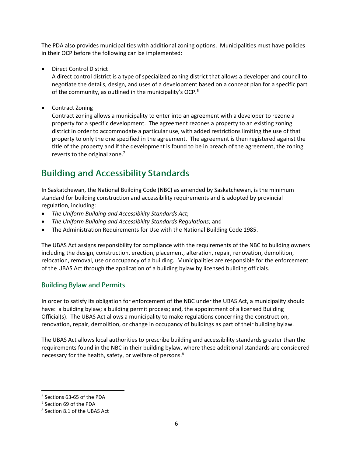The PDA also provides municipalities with additional zoning options. Municipalities must have policies in their OCP before the following can be implemented:

Direct Control District

A direct control district is a type of specialized zoning district that allows a developer and council to negotiate the details, design, and uses of a development based on a concept plan for a specific part of the community, as outlined in the municipality's OCP.<sup>6</sup>

• Contract Zoning

Contract zoning allows a municipality to enter into an agreement with a developer to rezone a property for a specific development. The agreement rezones a property to an existing zoning district in order to accommodate a particular use, with added restrictions limiting the use of that property to only the one specified in the agreement. The agreement is then registered against the title of the property and if the development is found to be in breach of the agreement, the zoning reverts to the original zone. $<sup>7</sup>$ </sup>

# **Building and Accessibility Standards**

In Saskatchewan, the National Building Code (NBC) as amended by Saskatchewan, is the minimum standard for building construction and accessibility requirements and is adopted by provincial regulation, including:

- *The Uniform Building and Accessibility Standards Act*;
- *The Uniform Building and Accessibility Standards Regulations*; and
- The Administration Requirements for Use with the National Building Code 1985.

The UBAS Act assigns responsibility for compliance with the requirements of the NBC to building owners including the design, construction, erection, placement, alteration, repair, renovation, demolition, relocation, removal, use or occupancy of a building. Municipalities are responsible for the enforcement of the UBAS Act through the application of a building bylaw by licensed building officials.

#### **Building Bylaw and Permits**

In order to satisfy its obligation for enforcement of the NBC under the UBAS Act, a municipality should have: a building bylaw; a building permit process; and, the appointment of a licensed Building Official(s). The UBAS Act allows a municipality to make regulations concerning the construction, renovation, repair, demolition, or change in occupancy of buildings as part of their building bylaw.

The UBAS Act allows local authorities to prescribe building and accessibility standards greater than the requirements found in the NBC in their building bylaw, where these additional standards are considered necessary for the health, safety, or welfare of persons.<sup>8</sup>

 $\overline{a}$ 

<sup>6</sup> Sections 63-65 of the PDA

<sup>7</sup> Section 69 of the PDA

<sup>8</sup> Section 8.1 of the UBAS Act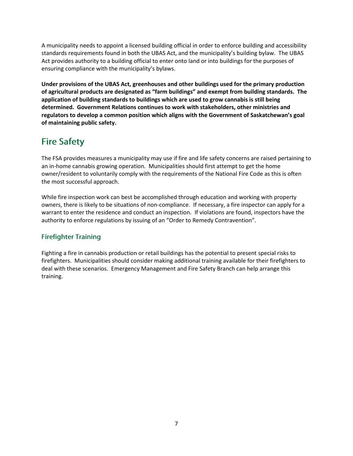A municipality needs to appoint a licensed building official in order to enforce building and accessibility standards requirements found in both the UBAS Act, and the municipality's building bylaw. The UBAS Act provides authority to a building official to enter onto land or into buildings for the purposes of ensuring compliance with the municipality's bylaws.

**Under provisions of the UBAS Act, greenhouses and other buildings used for the primary production of agricultural products are designated as "farm buildings" and exempt from building standards. The application of building standards to buildings which are used to grow cannabis is still being determined. Government Relations continues to work with stakeholders, other ministries and regulators to develop a common position which aligns with the Government of Saskatchewan's goal of maintaining public safety.**

# **Fire Safety**

The FSA provides measures a municipality may use if fire and life safety concerns are raised pertaining to an in-home cannabis growing operation. Municipalities should first attempt to get the home owner/resident to voluntarily comply with the requirements of the National Fire Code as this is often the most successful approach.

While fire inspection work can best be accomplished through education and working with property owners, there is likely to be situations of non-compliance. If necessary, a fire inspector can apply for a warrant to enter the residence and conduct an inspection. If violations are found, inspectors have the authority to enforce regulations by issuing of an "Order to Remedy Contravention".

### **Firefighter Training**

Fighting a fire in cannabis production or retail buildings has the potential to present special risks to firefighters. Municipalities should consider making additional training available for their firefighters to deal with these scenarios. Emergency Management and Fire Safety Branch can help arrange this training.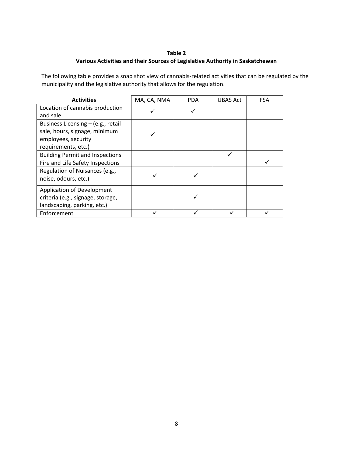#### **Table 2 Various Activities and their Sources of Legislative Authority in Saskatchewan**

The following table provides a snap shot view of cannabis-related activities that can be regulated by the municipality and the legislative authority that allows for the regulation.

| <b>Activities</b>                      | MA, CA, NMA | <b>PDA</b> | UBAS Act | <b>FSA</b> |
|----------------------------------------|-------------|------------|----------|------------|
| Location of cannabis production        |             |            |          |            |
| and sale                               |             |            |          |            |
| Business Licensing – (e.g., retail     |             |            |          |            |
| sale, hours, signage, minimum          |             |            |          |            |
| employees, security                    |             |            |          |            |
| requirements, etc.)                    |             |            |          |            |
| <b>Building Permit and Inspections</b> |             |            | ✓        |            |
| Fire and Life Safety Inspections       |             |            |          |            |
| Regulation of Nuisances (e.g.,         |             |            |          |            |
| noise, odours, etc.)                   |             |            |          |            |
| <b>Application of Development</b>      |             |            |          |            |
| criteria (e.g., signage, storage,      |             |            |          |            |
| landscaping, parking, etc.)            |             |            |          |            |
| Enforcement                            |             |            |          |            |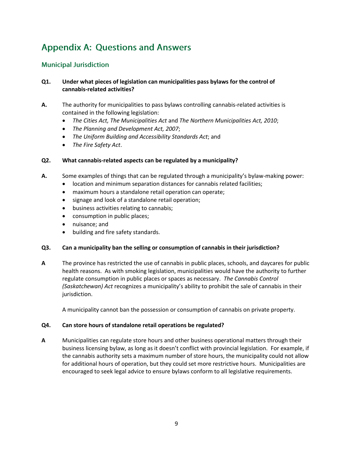# **Appendix A: Questions and Answers**

#### **Municipal Jurisdiction**

#### **Q1. Under what pieces of legislation can municipalities pass bylaws for the control of cannabis-related activities?**

- **A.** The authority for municipalities to pass bylaws controlling cannabis-related activities is contained in the following legislation:
	- *The Cities Act, The Municipalities Act* and *The Northern Municipalities Act, 2010*;
	- *The Planning and Development Act, 2007*;
	- *The Uniform Building and Accessibility Standards Act*; and
	- *The Fire Safety Act*.

#### **Q2. What cannabis-related aspects can be regulated by a municipality?**

- **A.** Some examples of things that can be regulated through a municipality's bylaw-making power:
	- location and minimum separation distances for cannabis related facilities;
	- maximum hours a standalone retail operation can operate;
	- signage and look of a standalone retail operation;
	- business activities relating to cannabis;
	- consumption in public places;
	- nuisance; and
	- building and fire safety standards.

#### **Q3. Can a municipality ban the selling or consumption of cannabis in their jurisdiction?**

**A** The province has restricted the use of cannabis in public places, schools, and daycares for public health reasons. As with smoking legislation, municipalities would have the authority to further regulate consumption in public places or spaces as necessary. *The Cannabis Control (Saskatchewan) Act* recognizes a municipality's ability to prohibit the sale of cannabis in their jurisdiction.

A municipality cannot ban the possession or consumption of cannabis on private property.

#### **Q4. Can store hours of standalone retail operations be regulated?**

**A** Municipalities can regulate store hours and other business operational matters through their business licensing bylaw, as long as it doesn't conflict with provincial legislation. For example, if the cannabis authority sets a maximum number of store hours, the municipality could not allow for additional hours of operation, but they could set more restrictive hours. Municipalities are encouraged to seek legal advice to ensure bylaws conform to all legislative requirements.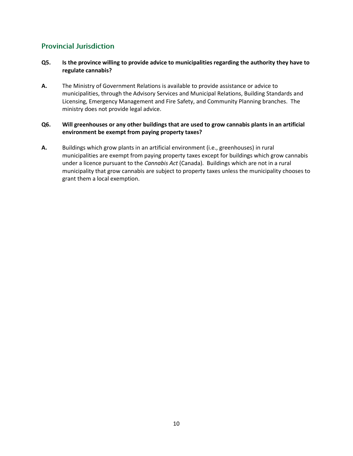### **Provincial Jurisdiction**

#### **Q5. Is the province willing to provide advice to municipalities regarding the authority they have to regulate cannabis?**

**A.** The Ministry of Government Relations is available to provide assistance or advice to municipalities, through the Advisory Services and Municipal Relations, Building Standards and Licensing, Emergency Management and Fire Safety, and Community Planning branches. The ministry does not provide legal advice.

#### **Q6. Will greenhouses or any other buildings that are used to grow cannabis plants in an artificial environment be exempt from paying property taxes?**

**A.** Buildings which grow plants in an artificial environment (i.e., greenhouses) in rural municipalities are exempt from paying property taxes except for buildings which grow cannabis under a licence pursuant to the *Cannabis Act* (Canada). Buildings which are not in a rural municipality that grow cannabis are subject to property taxes unless the municipality chooses to grant them a local exemption.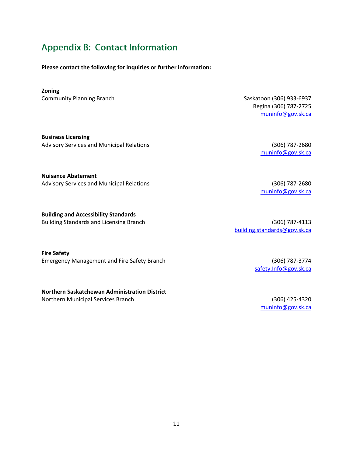# **Appendix B: Contact Information**

**Please contact the following for inquiries or further information:**

#### **Zoning**

Community Planning Branch Saskatoon (306) 933-6937

**Business Licensing** Advisory Services and Municipal Relations (306) 787-2680

**Nuisance Abatement** Advisory Services and Municipal Relations (306) 787-2680

**Building and Accessibility Standards** Building Standards and Licensing Branch (306) 787-4113

**Fire Safety**  Emergency Management and Fire Safety Branch (306) 787-3774

#### **Northern Saskatchewan Administration District**

Northern Municipal Services Branch (306) 425-4320

Regina (306) 787-2725 [muninfo@gov.sk.ca](mailto:muninfo@gov.sk.ca)

[muninfo@gov.sk.ca](mailto:muninfo@gov.sk.ca)

[muninfo@gov.sk.ca](mailto:muninfo@gov.sk.ca)

[building.standards@gov.sk.ca](mailto:building.standards@gov.sk.ca)

[safety.Info@gov.sk.ca](mailto:safety.Info@gov.sk.ca)

[muninfo@gov.sk.ca](mailto:muninfo@gov.sk.ca)